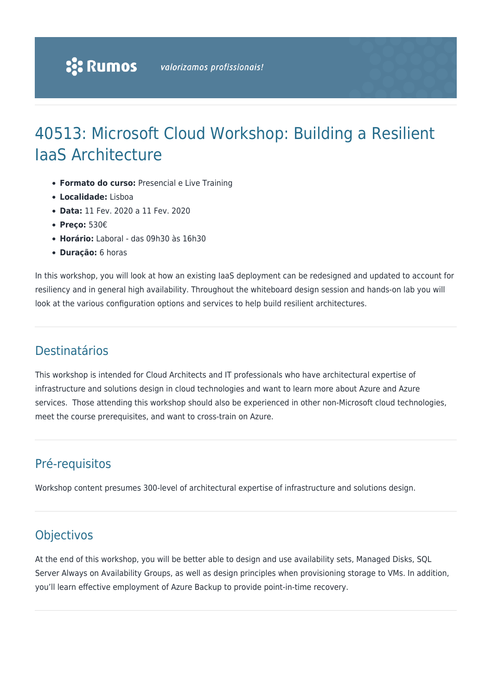# 40513: Microsoft Cloud Workshop: Building a Resilient IaaS Architecture

- **Formato do curso:** Presencial e Live Training
- **Localidade:** Lisboa
- **Data:** 11 Fev. 2020 a 11 Fev. 2020
- **Preço:** 530€
- **Horário:** Laboral das 09h30 às 16h30
- **Duração:** 6 horas

In this workshop, you will look at how an existing IaaS deployment can be redesigned and updated to account for resiliency and in general high availability. Throughout the whiteboard design session and hands-on lab you will look at the various configuration options and services to help build resilient architectures.

### Destinatários

This workshop is intended for Cloud Architects and IT professionals who have architectural expertise of infrastructure and solutions design in cloud technologies and want to learn more about Azure and Azure services. Those attending this workshop should also be experienced in other non-Microsoft cloud technologies, meet the course prerequisites, and want to cross-train on Azure.

# Pré-requisitos

Workshop content presumes 300-level of architectural expertise of infrastructure and solutions design.

## **Objectivos**

At the end of this workshop, you will be better able to design and use availability sets, Managed Disks, SQL Server Always on Availability Groups, as well as design principles when provisioning storage to VMs. In addition, you'll learn effective employment of Azure Backup to provide point-in-time recovery.